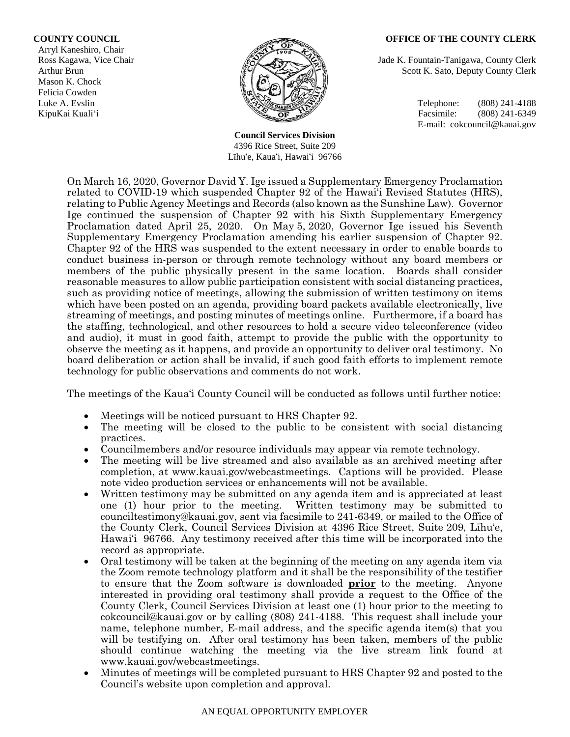### **COUNTY COUNCIL OFFICE OF THE COUNTY CLERK**

Arryl Kaneshiro, Chair Mason K. Chock Felicia Cowden



**Council Services Division** 4396 Rice Street, Suite 209 Līhu'e, Kaua'i, Hawai'i 96766

Ross Kagawa, Vice Chair  $\beta$  Jade K. Fountain-Tanigawa, County Clerk Arthur Brun Scott K. Sato, Deputy County Clerk

Luke A. Evslin (808) 241-4188 KipuKai Kuali'i Facsimile: (808) 241-6349 E-mail: cokcouncil@kauai.gov

On March 16, 2020, Governor David Y. Ige issued a Supplementary Emergency Proclamation related to COVID-19 which suspended Chapter 92 of the Hawai'i Revised Statutes (HRS), relating to Public Agency Meetings and Records (also known as the Sunshine Law). Governor Ige continued the suspension of Chapter 92 with his Sixth Supplementary Emergency Proclamation dated April 25, 2020. On May 5, 2020, Governor Ige issued his Seventh Supplementary Emergency Proclamation amending his earlier suspension of Chapter 92. Chapter 92 of the HRS was suspended to the extent necessary in order to enable boards to conduct business in-person or through remote technology without any board members or members of the public physically present in the same location. Boards shall consider reasonable measures to allow public participation consistent with social distancing practices, such as providing notice of meetings, allowing the submission of written testimony on items which have been posted on an agenda, providing board packets available electronically, live streaming of meetings, and posting minutes of meetings online. Furthermore, if a board has the staffing, technological, and other resources to hold a secure video teleconference (video and audio), it must in good faith, attempt to provide the public with the opportunity to observe the meeting as it happens, and provide an opportunity to deliver oral testimony. No board deliberation or action shall be invalid, if such good faith efforts to implement remote technology for public observations and comments do not work.

The meetings of the Kaua'i County Council will be conducted as follows until further notice:

- Meetings will be noticed pursuant to HRS Chapter 92.
- The meeting will be closed to the public to be consistent with social distancing practices.
- Councilmembers and/or resource individuals may appear via remote technology.
- The meeting will be live streamed and also available as an archived meeting after completion, at www.kauai.gov/webcastmeetings. Captions will be provided. Please note video production services or enhancements will not be available.
- Written testimony may be submitted on any agenda item and is appreciated at least one (1) hour prior to the meeting. Written testimony may be submitted to counciltestimony@kauai.gov, sent via facsimile to 241-6349, or mailed to the Office of the County Clerk, Council Services Division at 4396 Rice Street, Suite 209, Līhu'e, Hawai'i 96766. Any testimony received after this time will be incorporated into the record as appropriate.
- Oral testimony will be taken at the beginning of the meeting on any agenda item via the Zoom remote technology platform and it shall be the responsibility of the testifier to ensure that the Zoom software is downloaded **prior** to the meeting. Anyone interested in providing oral testimony shall provide a request to the Office of the County Clerk, Council Services Division at least one (1) hour prior to the meeting to cokcouncil@kauai.gov or by calling (808) 241-4188. This request shall include your name, telephone number, E-mail address, and the specific agenda item(s) that you will be testifying on. After oral testimony has been taken, members of the public should continue watching the meeting via the live stream link found at www.kauai.gov/webcastmeetings.
- Minutes of meetings will be completed pursuant to HRS Chapter 92 and posted to the Council's website upon completion and approval.

#### AN EQUAL OPPORTUNITY EMPLOYER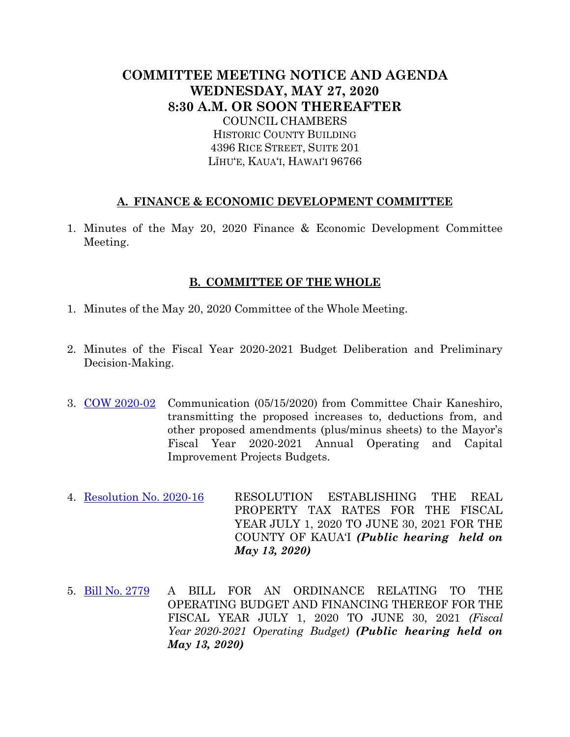# **COMMITTEE MEETING NOTICE AND AGENDA WEDNESDAY, MAY 27, 2020 8:30 A.M. OR SOON THEREAFTER** COUNCIL CHAMBERS HISTORIC COUNTY BUILDING 4396 RICE STREET, SUITE 201 LĪHU'E, KAUA'I, HAWAI'I 96766

## **A. FINANCE & ECONOMIC DEVELOPMENT COMMITTEE**

1. Minutes of the May 20, 2020 Finance & Economic Development Committee Meeting.

### **B. COMMITTEE OF THE WHOLE**

- 1. Minutes of the May 20, 2020 Committee of the Whole Meeting.
- 2. Minutes of the Fiscal Year 2020-2021 Budget Deliberation and Preliminary Decision-Making.
- 3. [COW 2020-02](https://kauai.granicus.com/MetaViewer.php?meta_id=139962) Communication (05/15/2020) from Committee Chair Kaneshiro, transmitting the proposed increases to, deductions from, and other proposed amendments (plus/minus sheets) to the Mayor's Fiscal Year 2020-2021 Annual Operating and Capital Improvement Projects Budgets.
- 4. [Resolution No. 2020-16](https://kauai.granicus.com/MetaViewer.php?meta_id=139956) RESOLUTION ESTABLISHING THE REAL PROPERTY TAX RATES FOR THE FISCAL YEAR JULY 1, 2020 TO JUNE 30, 2021 FOR THE COUNTY OF KAUA'I *(Public hearing held on May 13, 2020)*
- 5. [Bill No. 2779](https://kauai.granicus.com/MetaViewer.php?meta_id=139954) A BILL FOR AN ORDINANCE RELATING TO THE OPERATING BUDGET AND FINANCING THEREOF FOR THE FISCAL YEAR JULY 1, 2020 TO JUNE 30, 2021 *(Fiscal Year 2020-2021 Operating Budget) (Public hearing held on May 13, 2020)*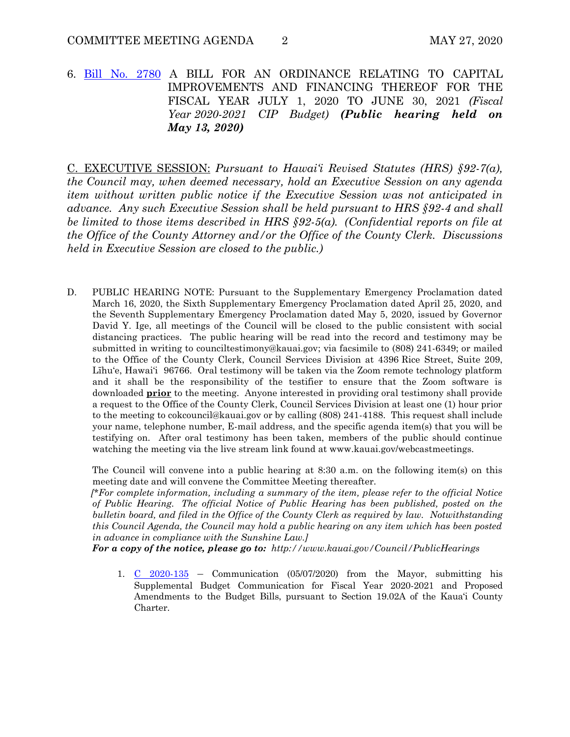6. [Bill No. 2780](https://kauai.granicus.com/MetaViewer.php?meta_id=139958) A BILL FOR AN ORDINANCE RELATING TO CAPITAL IMPROVEMENTS AND FINANCING THEREOF FOR THE FISCAL YEAR JULY 1, 2020 TO JUNE 30, 2021 *(Fiscal Year 2020-2021 CIP Budget) (Public hearing held on May 13, 2020)*

C. EXECUTIVE SESSION: *Pursuant to Hawai'i Revised Statutes (HRS) §92-7(a), the Council may, when deemed necessary, hold an Executive Session on any agenda item without written public notice if the Executive Session was not anticipated in advance. Any such Executive Session shall be held pursuant to HRS §92-4 and shall be limited to those items described in HRS §92-5(a). (Confidential reports on file at the Office of the County Attorney and/or the Office of the County Clerk. Discussions held in Executive Session are closed to the public.)*

D. PUBLIC HEARING NOTE: Pursuant to the Supplementary Emergency Proclamation dated March 16, 2020, the Sixth Supplementary Emergency Proclamation dated April 25, 2020, and the Seventh Supplementary Emergency Proclamation dated May 5, 2020, issued by Governor David Y. Ige, all meetings of the Council will be closed to the public consistent with social distancing practices. The public hearing will be read into the record and testimony may be submitted in writing to counciltestimony@kauai.gov; via facsimile to (808) 241-6349; or mailed to the Office of the County Clerk, Council Services Division at 4396 Rice Street, Suite 209, Līhu'e, Hawai'i 96766. Oral testimony will be taken via the Zoom remote technology platform and it shall be the responsibility of the testifier to ensure that the Zoom software is downloaded **prior** to the meeting. Anyone interested in providing oral testimony shall provide a request to the Office of the County Clerk, Council Services Division at least one (1) hour prior to the meeting to cokcouncil@kauai.gov or by calling (808) 241-4188. This request shall include your name, telephone number, E-mail address, and the specific agenda item(s) that you will be testifying on. After oral testimony has been taken, members of the public should continue watching the meeting via the live stream link found at www.kauai.gov/webcastmeetings.

The Council will convene into a public hearing at 8:30 a.m. on the following item(s) on this meeting date and will convene the Committee Meeting thereafter.

 *[\*For complete information, including a summary of the item, please refer to the official Notice of Public Hearing. The official Notice of Public Hearing has been published, posted on the bulletin board, and filed in the Office of the County Clerk as required by law. Notwithstanding this Council Agenda, the Council may hold a public hearing on any item which has been posted in advance in compliance with the Sunshine Law.]* 

 *For a copy of the notice, please go to: http://www.kauai.gov/Council/PublicHearings* 

1. [C 2020-135](https://kauai.granicus.com/MetaViewer.php?meta_id=139960) – Communication (05/07/2020) from the Mayor, submitting his Supplemental Budget Communication for Fiscal Year 2020-2021 and Proposed Amendments to the Budget Bills, pursuant to Section 19.02A of the Kaua'i County Charter.